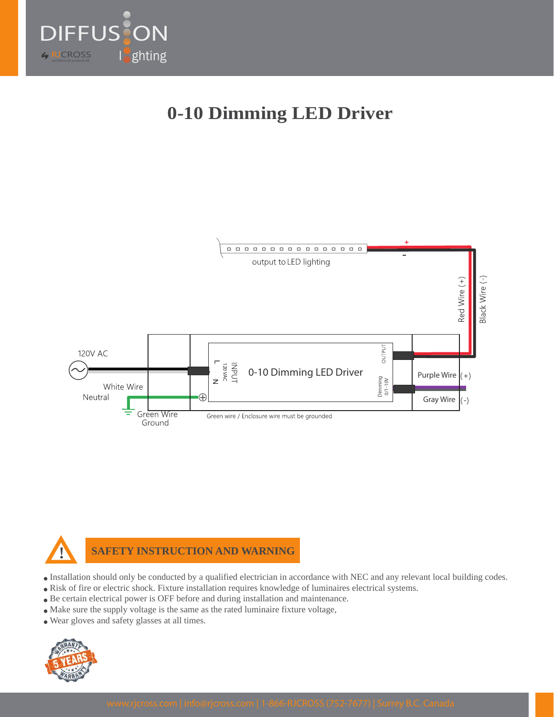

# **0-10 Dimming LED Driver**





#### **SAFETY INSTRUCTION AND WARNING**

- Installation should only be conducted by a qualified electrician in accordance with NEC and any relevant local building codes.
- Risk of fire or electric shock. Fixture installation requires knowledge of luminaires electrical systems.
- Be certain electrical power is OFF before and during installation and maintenance.
- Make sure the supply voltage is the same as the rated luminaire fixture voltage,
- Wear gloves and safety glasses at all times.

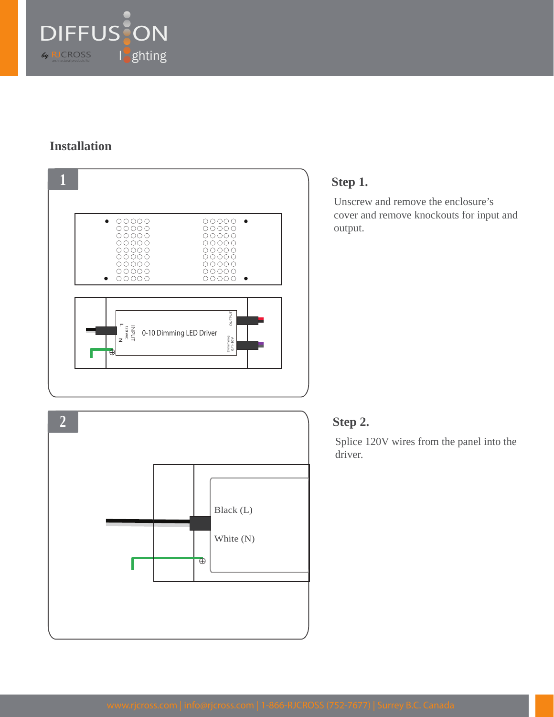

### **Installation**



### **Step 1.**

Unscrew and remove the enclosure's cover and remove knockouts for input and output.

#### **Step 2.**

Splice 120V wires from the panel into the driver.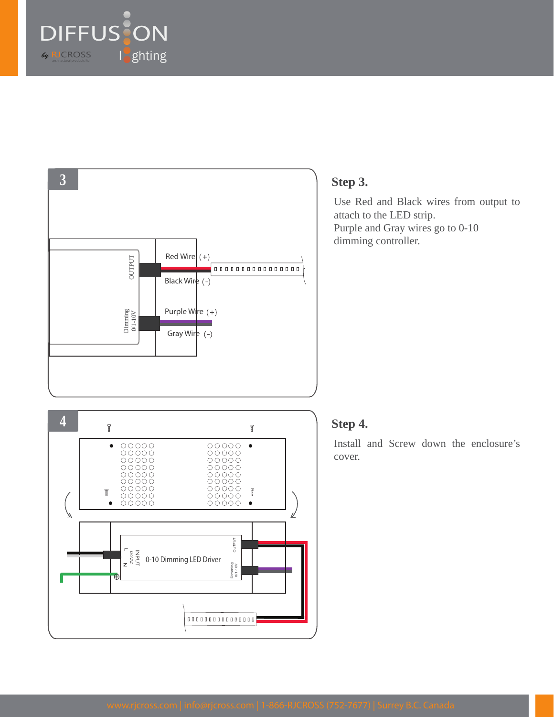



#### **4**  $\overline{\mathbb{I}}$  $\overline{\mathbb{I}}$  $\begin{array}{c} \hline \multicolumn{1}{c}{\textbf{0}} \\ \hline \multicolumn{1}{c}{\textbf{0}} \\ \multicolumn{1}{c}{\textbf{0}} \\ \multicolumn{1}{c}{\textbf{0}} \\ \multicolumn{1}{c}{\textbf{0}} \\ \multicolumn{1}{c}{\textbf{0}} \\ \multicolumn{1}{c}{\textbf{0}} \\ \multicolumn{1}{c}{\textbf{0}} \\ \multicolumn{1}{c}{\textbf{0}} \\ \multicolumn{1}{c}{\textbf{0}} \\ \multicolumn{1}{c}{\textbf{0}} \\ \multicolumn{1}{c}{\textbf{0}} \\ \multicolumn{1}{c}{\textbf{0}}$  $\begin{array}{c} 00000 \\ 00000 \\ 00000 \\ \end{array}$  $\bullet$  $\bullet$ T  $\sqrt{2}$  $\bullet$  $\bullet$ ∥ OUTPUT 120 VAC 0-10 Dimming LED Driver0/1-10V Dimming  $\overline{A}$

## **Step 3.**

Use Red and Black wires from output to attach to the LED strip. Purple and Gray wires go to 0-10 dimming controller.

# **Step 4.**

Install and Screw down the enclosure's cover.